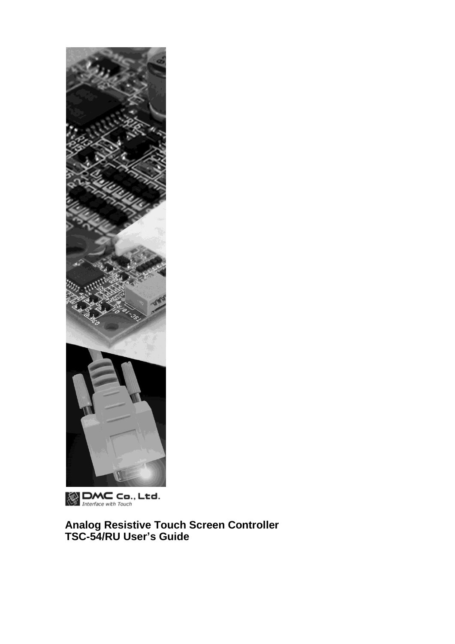

 $\bigotimes_{\text{Interface with Touch}}$  Ltd.

**Analog Resistive Touch Screen Controller TSC-54/RU User's Guide**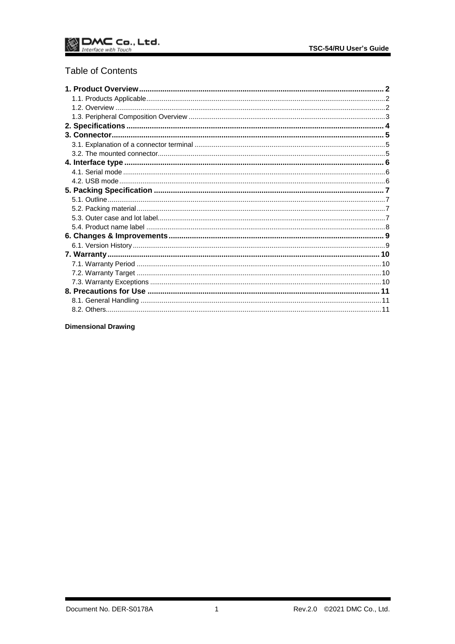# **Table of Contents**

**Dimensional Drawing**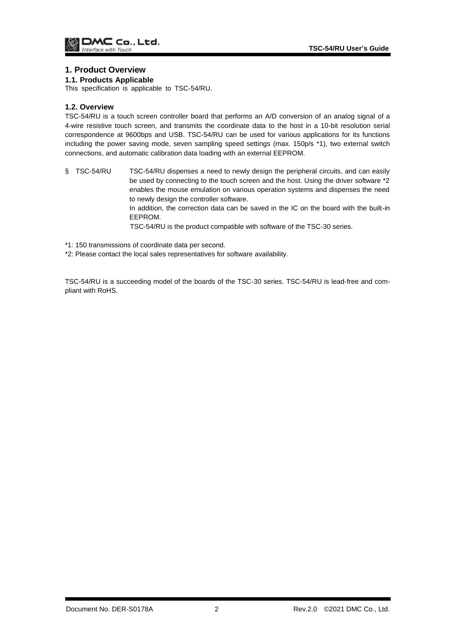### <span id="page-2-0"></span>**1. Product Overview**

#### <span id="page-2-1"></span>**1.1. Products Applicable**

This specification is applicable to TSC-54/RU.

#### <span id="page-2-2"></span>**1.2. Overview**

TSC-54/RU is a touch screen controller board that performs an A/D conversion of an analog signal of a 4-wire resistive touch screen, and transmits the coordinate data to the host in a 10-bit resolution serial correspondence at 9600bps and USB. TSC-54/RU can be used for various applications for its functions including the power saving mode, seven sampling speed settings (max. 150p/s \*1), two external switch connections, and automatic calibration data loading with an external EEPROM.

§ TSC-54/RU TSC-54/RU dispenses a need to newly design the peripheral circuits, and can easily be used by connecting to the touch screen and the host. Using the driver software \*2 enables the mouse emulation on various operation systems and dispenses the need to newly design the controller software. In addition, the correction data can be saved in the IC on the board with the built-in

EEPROM.

TSC-54/RU is the product compatible with software of the TSC-30 series.

\*1: 150 transmissions of coordinate data per second.

\*2: Please contact the local sales representatives for software availability.

TSC-54/RU is a succeeding model of the boards of the TSC-30 series. TSC-54/RU is lead-free and compliant with RoHS.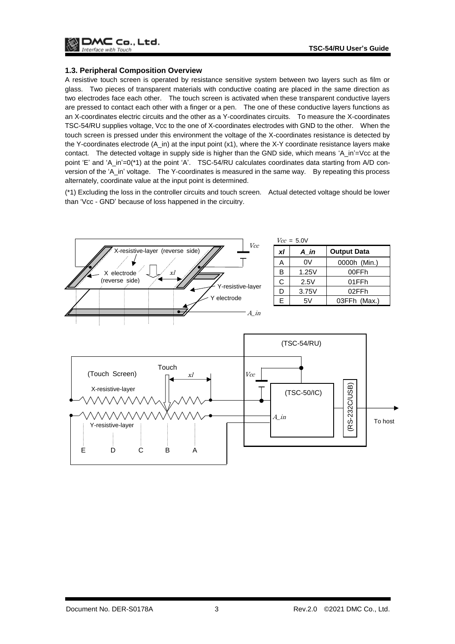

#### <span id="page-3-0"></span>**1.3. Peripheral Composition Overview**

A resistive touch screen is operated by resistance sensitive system between two layers such as film or glass. Two pieces of transparent materials with conductive coating are placed in the same direction as two electrodes face each other. The touch screen is activated when these transparent conductive layers are pressed to contact each other with a finger or a pen. The one of these conductive layers functions as an X-coordinates electric circuits and the other as a Y-coordinates circuits. To measure the X-coordinates TSC-54/RU supplies voltage, Vcc to the one of X-coordinates electrodes with GND to the other. When the touch screen is pressed under this environment the voltage of the X-coordinates resistance is detected by the Y-coordinates electrode (A\_in) at the input point (x1), where the X-Y coordinate resistance layers make contact. The detected voltage in supply side is higher than the GND side, which means 'A\_in'=Vcc at the point 'E' and 'A\_in'=0(\*1) at the point 'A'. TSC-54/RU calculates coordinates data starting from A/D conversion of the 'A\_in' voltage. The Y-coordinates is measured in the same way. By repeating this process alternately, coordinate value at the input point is determined.

(\*1) Excluding the loss in the controller circuits and touch screen. Actual detected voltage should be lower than 'Vcc - GND' because of loss happened in the circuitry.

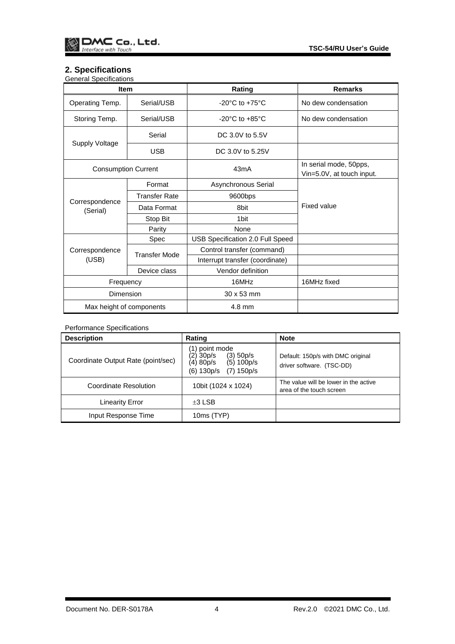# <span id="page-4-0"></span>**2. Specifications**

| <b>General Specifications</b> |                      |                                      |                                                     |  |
|-------------------------------|----------------------|--------------------------------------|-----------------------------------------------------|--|
| <b>Item</b>                   |                      | Rating                               | <b>Remarks</b>                                      |  |
| Operating Temp.               | Serial/USB           | -20 $^{\circ}$ C to +75 $^{\circ}$ C | No dew condensation                                 |  |
| Storing Temp.                 | Serial/USB           | $-20^{\circ}$ C to $+85^{\circ}$ C   | No dew condensation                                 |  |
| Supply Voltage                | Serial               | DC 3.0V to 5.5V                      |                                                     |  |
|                               | <b>USB</b>           | DC 3.0V to 5.25V                     |                                                     |  |
| <b>Consumption Current</b>    |                      | 43mA                                 | In serial mode, 50pps,<br>Vin=5.0V, at touch input. |  |
|                               | Format               | Asynchronous Serial                  |                                                     |  |
|                               | <b>Transfer Rate</b> | 9600bps                              |                                                     |  |
| Correspondence<br>(Serial)    | Data Format          | 8bit                                 | Fixed value                                         |  |
|                               | Stop Bit             | 1 <sub>bit</sub>                     |                                                     |  |
|                               | Parity               | None                                 |                                                     |  |
|                               | Spec                 | USB Specification 2.0 Full Speed     |                                                     |  |
| Correspondence                |                      | Control transfer (command)           |                                                     |  |
| (USB)                         | <b>Transfer Mode</b> | Interrupt transfer (coordinate)      |                                                     |  |
|                               | Device class         | Vendor definition                    |                                                     |  |
| Frequency                     |                      | 16MHz                                | 16MHz fixed                                         |  |
| Dimension                     |                      | 30 x 53 mm                           |                                                     |  |
| Max height of components      |                      | 4.8 mm                               |                                                     |  |

### Performance Specifications

| <b>Description</b>                 | Rating                                                                                                    | <b>Note</b>                                                       |
|------------------------------------|-----------------------------------------------------------------------------------------------------------|-------------------------------------------------------------------|
| Coordinate Output Rate (point/sec) | (1) point mode<br>(2) 30p/s<br>$(3)$ 50 $p/s$<br>(4) 80p/s<br>(5) 100p/s<br>(6) 130p/s<br>$(7)$ 150 $p/s$ | Default: 150p/s with DMC original<br>driver software. (TSC-DD)    |
| Coordinate Resolution              | 10bit (1024 x 1024)                                                                                       | The value will be lower in the active<br>area of the touch screen |
| <b>Linearity Error</b>             | $\pm 3$ LSB                                                                                               |                                                                   |
| Input Response Time                | 10ms (TYP)                                                                                                |                                                                   |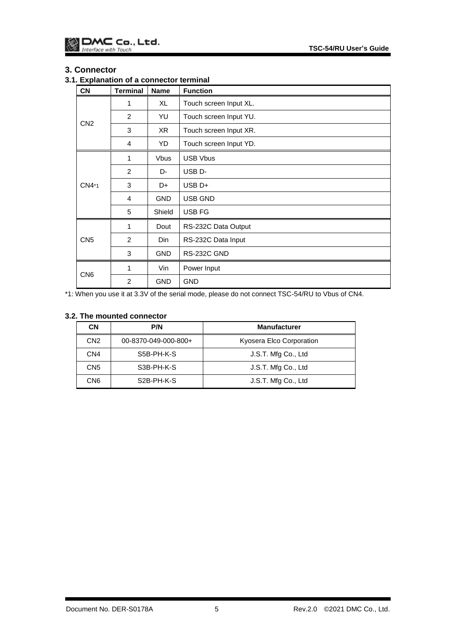### <span id="page-5-0"></span>**3. Connector**

## <span id="page-5-1"></span>**3.1. Explanation of a connector terminal**

| <b>CN</b>       | <b>Terminal</b> | <b>Name</b> | <b>Function</b>        |
|-----------------|-----------------|-------------|------------------------|
| CN2             | 1               | XL          | Touch screen Input XL. |
|                 | 2               | YU          | Touch screen Input YU. |
|                 | 3               | XR          | Touch screen Input XR. |
|                 | 4               | YD          | Touch screen Input YD. |
| CN4*1           | 1               | <b>Vbus</b> | <b>USB Vbus</b>        |
|                 | 2               | D-          | USB <sub>D</sub> -     |
|                 | 3               | D+          | USB <sub>D+</sub>      |
|                 | 4               | <b>GND</b>  | USB GND                |
|                 | 5               | Shield      | USB FG                 |
| CN <sub>5</sub> | 1               | Dout        | RS-232C Data Output    |
|                 | 2               | Din.        | RS-232C Data Input     |
|                 | 3               | <b>GND</b>  | RS-232C GND            |
| CN <sub>6</sub> | 1               | Vin         | Power Input            |
|                 | $\overline{2}$  | <b>GND</b>  | <b>GND</b>             |

\*1: When you use it at 3.3V of the serial mode, please do not connect TSC-54/RU to Vbus of CN4.

### <span id="page-5-2"></span>**3.2. The mounted connector**

| <b>CN</b>       | P/N                     | <b>Manufacturer</b>      |
|-----------------|-------------------------|--------------------------|
| CN <sub>2</sub> | 00-8370-049-000-800+    | Kyosera Elco Corporation |
| CN4             | S5B-PH-K-S              | J.S.T. Mfg Co., Ltd      |
| CN <sub>5</sub> | S3B-PH-K-S              | J.S.T. Mfg Co., Ltd      |
| CN <sub>6</sub> | S <sub>2</sub> B-PH-K-S | J.S.T. Mfg Co., Ltd      |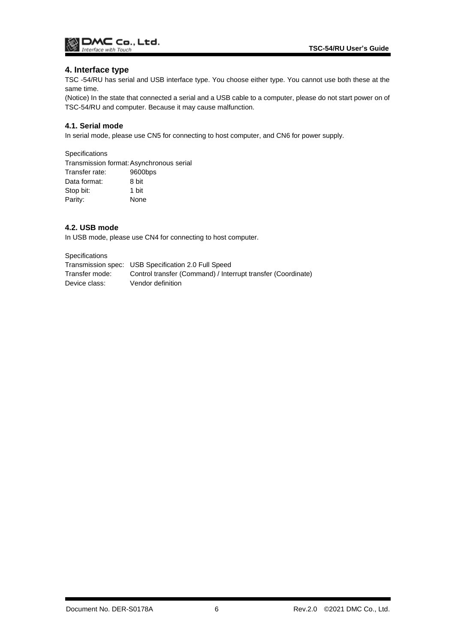

### <span id="page-6-0"></span>**4. Interface type**

TSC -54/RU has serial and USB interface type. You choose either type. You cannot use both these at the same time.

(Notice) In the state that connected a serial and a USB cable to a computer, please do not start power on of TSC-54/RU and computer. Because it may cause malfunction.

### <span id="page-6-1"></span>**4.1. Serial mode**

In serial mode, please use CN5 for connecting to host computer, and CN6 for power supply.

**Specifications** 

Transmission format:Asynchronous serial Transfer rate: 9600bps Data format: 8 bit Stop bit: 1 bit Parity: None

### <span id="page-6-2"></span>**4.2. USB mode**

In USB mode, please use CN4 for connecting to host computer.

Specifications

|                | Transmission spec: USB Specification 2.0 Full Speed          |
|----------------|--------------------------------------------------------------|
| Transfer mode: | Control transfer (Command) / Interrupt transfer (Coordinate) |
| Device class:  | Vendor definition                                            |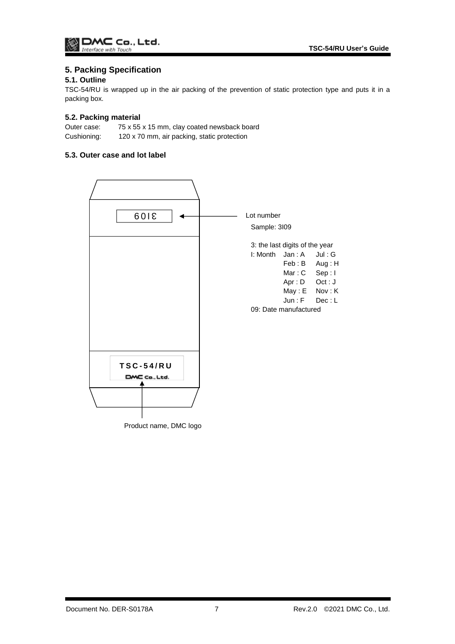# <span id="page-7-0"></span>**5. Packing Specification**

### <span id="page-7-1"></span>**5.1. Outline**

TSC-54/RU is wrapped up in the air packing of the prevention of static protection type and puts it in a packing box.

### <span id="page-7-2"></span>**5.2. Packing material**

Outer case: 75 x 55 x 15 mm, clay coated newsback board Cushioning: 120 x 70 mm, air packing, static protection

### <span id="page-7-3"></span>**5.3. Outer case and lot label**

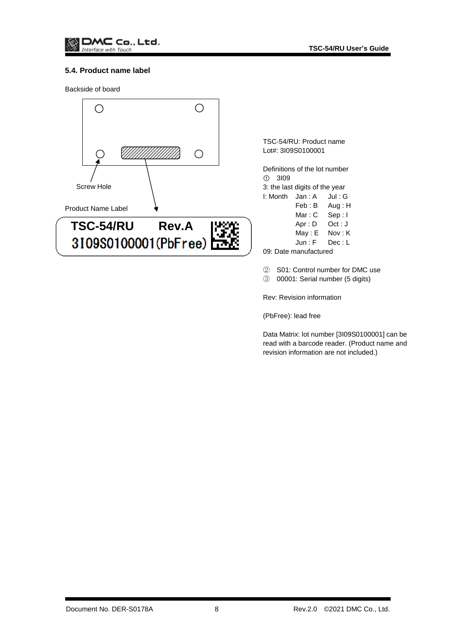

### <span id="page-8-0"></span>**5.4. Product name label**

Backside of board



TSC-54/RU: Product name Lot#: 3I09S0100001

Definitions of the lot number ① 3I09 3: the last digits of the year I: Month Jan : A Jul : G Feb : B Aug : H Mar: C Sep: I

- Apr : D Oct : J
- May : E Nov : K

Jun : F Dec : L

09: Date manufactured

② S01: Control number for DMC use

③ 00001: Serial number (5 digits)

Rev: Revision information

(PbFree): lead free

Data Matrix: lot number [3I09S0100001] can be read with a barcode reader. (Product name and revision information are not included.)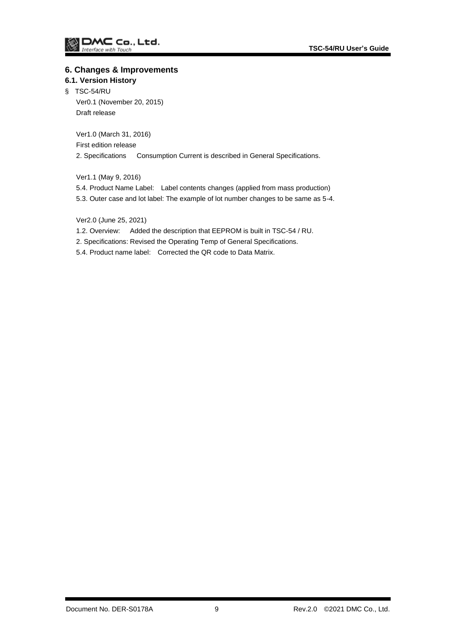### <span id="page-9-0"></span>**6. Changes & Improvements**

### <span id="page-9-1"></span>**6.1. Version History**

§ TSC-54/RU Ver0.1 (November 20, 2015) Draft release

> Ver1.0 (March 31, 2016) First edition release 2. Specifications Consumption Current is described in General Specifications.

Ver1.1 (May 9, 2016)

5.4. Product Name Label: Label contents changes (applied from mass production)

5.3. Outer case and lot label: The example of lot number changes to be same as 5-4.

Ver2.0 (June 25, 2021)

- 1.2. Overview: Added the description that EEPROM is built in TSC-54 / RU.
- 2. Specifications: Revised the Operating Temp of General Specifications.
- 5.4. Product name label: Corrected the QR code to Data Matrix.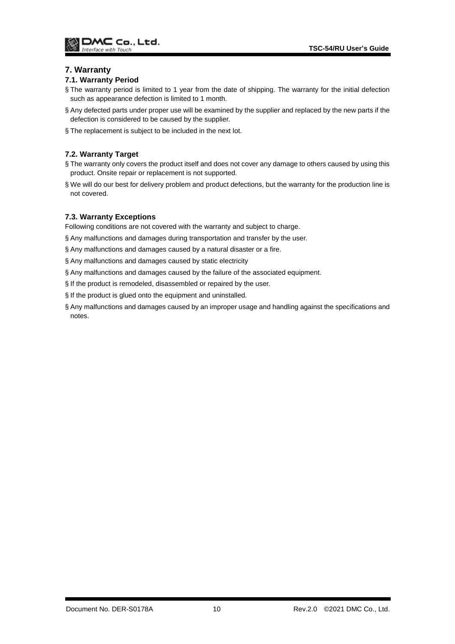### <span id="page-10-0"></span>**7. Warranty**

### <span id="page-10-1"></span>**7.1. Warranty Period**

- § The warranty period is limited to 1 year from the date of shipping. The warranty for the initial defection such as appearance defection is limited to 1 month.
- § Any defected parts under proper use will be examined by the supplier and replaced by the new parts if the defection is considered to be caused by the supplier.
- § The replacement is subject to be included in the next lot.

### <span id="page-10-2"></span>**7.2. Warranty Target**

- § The warranty only covers the product itself and does not cover any damage to others caused by using this product. Onsite repair or replacement is not supported.
- § We will do our best for delivery problem and product defections, but the warranty for the production line is not covered.

### <span id="page-10-3"></span>**7.3. Warranty Exceptions**

Following conditions are not covered with the warranty and subject to charge.

- § Any malfunctions and damages during transportation and transfer by the user.
- § Any malfunctions and damages caused by a natural disaster or a fire.
- § Any malfunctions and damages caused by static electricity
- § Any malfunctions and damages caused by the failure of the associated equipment.
- § If the product is remodeled, disassembled or repaired by the user.
- § If the product is glued onto the equipment and uninstalled.
- § Any malfunctions and damages caused by an improper usage and handling against the specifications and notes.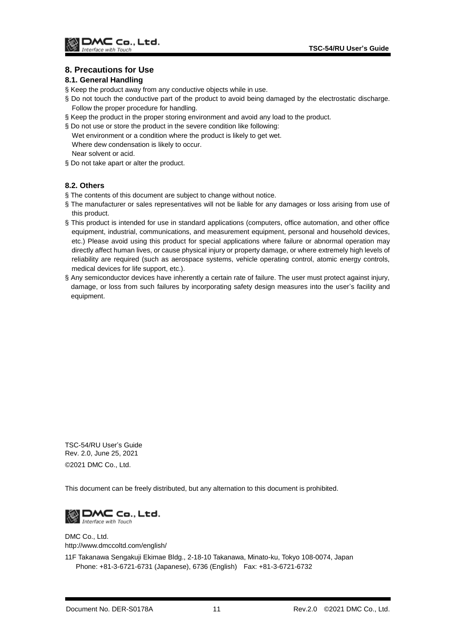## <span id="page-11-0"></span>**8. Precautions for Use**

### <span id="page-11-1"></span>**8.1. General Handling**

- § Keep the product away from any conductive objects while in use.
- § Do not touch the conductive part of the product to avoid being damaged by the electrostatic discharge. Follow the proper procedure for handling.
- § Keep the product in the proper storing environment and avoid any load to the product.
- § Do not use or store the product in the severe condition like following:
- Wet environment or a condition where the product is likely to get wet. Where dew condensation is likely to occur. Near solvent or acid.
- § Do not take apart or alter the product.

### <span id="page-11-2"></span>**8.2. Others**

- § The contents of this document are subject to change without notice.
- § The manufacturer or sales representatives will not be liable for any damages or loss arising from use of this product.
- § This product is intended for use in standard applications (computers, office automation, and other office equipment, industrial, communications, and measurement equipment, personal and household devices, etc.) Please avoid using this product for special applications where failure or abnormal operation may directly affect human lives, or cause physical injury or property damage, or where extremely high levels of reliability are required (such as aerospace systems, vehicle operating control, atomic energy controls, medical devices for life support, etc.).
- § Any semiconductor devices have inherently a certain rate of failure. The user must protect against injury, damage, or loss from such failures by incorporating safety design measures into the user's facility and equipment.

TSC-54/RU User's Guide Rev. 2.0, June 25, 2021 ©2021 DMC Co., Ltd.

This document can be freely distributed, but any alternation to this document is prohibited.



DMC Co., Ltd. http://www.dmccoltd.com/english/

11F Takanawa Sengakuji Ekimae Bldg., 2-18-10 Takanawa, Minato-ku, Tokyo 108-0074, Japan Phone: +81-3-6721-6731 (Japanese), 6736 (English) Fax: +81-3-6721-6732